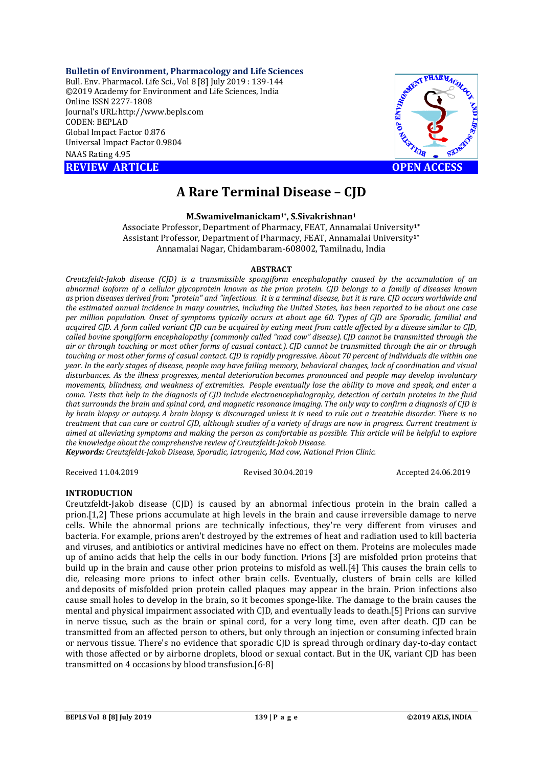**Bulletin of Environment, Pharmacology and Life Sciences** Bull. Env. Pharmacol. Life Sci., Vol 8 [8] July 2019 : 139-144 ©2019 Academy for Environment and Life Sciences, India Online ISSN 2277-1808 Journal's URL:<http://www.bepls.com> CODEN: BEPLAD Global Impact Factor 0.876 Universal Impact Factor 0.9804 NAAS Rating 4.95

**REVIEW ARTICLE CONSUMING A REVIEW ARTICLE** 



# **A Rare Terminal Disease – CJD**

**M.Swamivelmanickam1\* , S.Sivakrishnan<sup>1</sup>**

Associate Professor, Department of Pharmacy, FEAT, Annamalai University**1\*** Assistant Professor, Department of Pharmacy, FEAT, Annamalai University**1\*** Annamalai Nagar, Chidambaram-608002, Tamilnadu, India

#### **ABSTRACT**

*Creutzfeldt-Jakob disease (CJD) is a transmissible spongiform encephalopathy caused by the accumulation of an abnormal isoform of a cellular glycoprotein known as the prion protein. CJD belongs to a family of diseases known as* prion *diseases derived from "protein" and "infectious. It is a terminal disease, but it is rare. CJD occurs worldwide and the estimated annual incidence in many countries, including the United States, has been reported to be about one case per million population. Onset of symptoms typically occurs at about age 60. Types of CJD are Sporadic, familial and acquired CJD. A form called variant CJD can be acquired by eating meat from cattle affected by a disease similar to CJD, called bovine spongiform encephalopathy (commonly called "mad cow" disease). CJD cannot be transmitted through the air or through touching or most other forms of casual contact.). CJD cannot be transmitted through the air or through touching or most other forms of casual contact. CJD is rapidly progressive. About 70 percent of individuals die within one year. In the early stages of disease, people may have failing memory, behavioral changes, lack of coordination and visual disturbances. As the illness progresses, mental deterioration becomes pronounced and people may develop involuntary movements, blindness, and weakness of extremities. People eventually lose the ability to move and speak, and enter a coma. Tests that help in the diagnosis of CJD include electroencephalography, detection of certain proteins in the fluid that surrounds the brain and spinal cord, and magnetic resonance imaging. The only way to confirm a diagnosis of CJD is by brain biopsy or autopsy. A brain biopsy is discouraged unless it is need to rule out a treatable disorder. There is no treatment that can cure or control CJD, although studies of a variety of drugs are now in progress. Current treatment is aimed at alleviating symptoms and making the person as comfortable as possible. This article will be helpful to explore the knowledge about the comprehensive review of Creutzfeldt-Jakob Disease.*

*Keywords: Creutzfeldt-Jakob Disease, Sporadic, Iatrogenic, Mad cow, National Prion Clinic.*

Received 11.04.2019 Revised 30.04.2019 Accepted 24.06.2019

#### **INTRODUCTION**

Creutzfeldt-Jakob disease (CJD) is caused by an abnormal infectious protein in the brain called a prion.[1,2] These prions accumulate at high levels in the brain and cause irreversible damage to nerve cells. While the abnormal prions are technically infectious, they're very different from viruses and bacteria. For example, prions aren't destroyed by the extremes of heat and radiation used to kill bacteria and viruses, and antibiotics or antiviral medicines have no effect on them. Proteins are molecules made up of amino acids that help the cells in our body function. Prions [3] are misfolded prion proteins that build up in the brain and cause other prion proteins to misfold as well.[4] This causes the brain cells to die, releasing more prions to infect other brain cells. Eventually, clusters of brain cells are killed and deposits of misfolded prion protein called plaques may appear in the brain. Prion infections also cause small holes to develop in the brain, so it becomes sponge-like. The damage to the brain causes the mental and physical impairment associated with CJD, and eventually leads to death.[5] Prions can survive in nerve tissue, such as the brain or spinal cord, for a very long time, even after death. CJD can be transmitted from an affected person to others, but only through an injection or consuming infected brain or nervous tissue. There's no evidence that sporadic CJD is spread through ordinary day-to-day contact with those affected or by airborne droplets, blood or sexual contact. But in the UK, variant CJD has been transmitted on 4 occasions by blood transfusion.[6-8]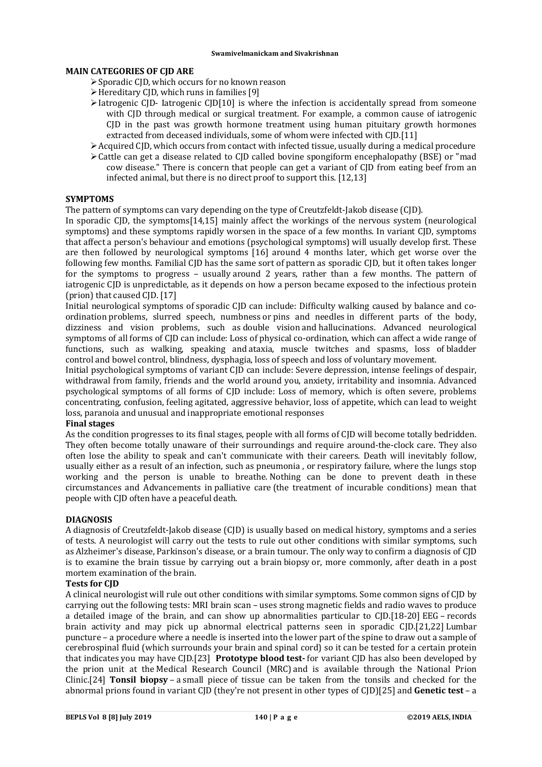# **MAIN CATEGORIES OF CJD ARE**

- Sporadic CJD, which occurs for no known reason
- Hereditary CJD, which runs in families [9]
- $\triangleright$  Iatrogenic CJD- Iatrogenic CJD[10] is where the infection is accidentally spread from someone with CJD through medical or surgical treatment. For example, a common cause of iatrogenic CJD in the past was growth hormone treatment using human pituitary growth hormones extracted from deceased individuals, some of whom were infected with CJD.[11]
- $\geq$  Acquired CID, which occurs from contact with infected tissue, usually during a medical procedure
- $\geq$  Cattle can get a disease related to CID called bovine spongiform encephalopathy (BSE) or "mad cow disease." There is concern that people can get a variant of CJD from eating beef from an infected animal, but there is no direct proof to support this. [12,13]

# **SYMPTOMS**

The pattern of symptoms can vary depending on the type of Creutzfeldt-Jakob disease (CJD).

In sporadic CJD, the symptoms[14,15] mainly affect the workings of the nervous system (neurological symptoms) and these symptoms rapidly worsen in the space of a few months. In variant CJD, symptoms that affect a person's behaviour and emotions (psychological symptoms) will usually develop first. These are then followed by neurological symptoms [16] around 4 months later, which get worse over the following few months. Familial CJD has the same sort of pattern as sporadic CJD, but it often takes longer for the symptoms to progress – usually around 2 years, rather than a few months. The pattern of iatrogenic CID is unpredictable, as it depends on how a person became exposed to the infectious protein (prion) that caused CJD. [17]

Initial neurological symptoms of sporadic CJD can include: Difficulty walking caused by balance and coordination problems, slurred speech, numbness or pins and needles in different parts of the body, dizziness and vision problems, such as double vision and hallucinations. Advanced neurological symptoms of all forms of CJD can include: Loss of physical co-ordination, which can affect a wide range of functions, such as walking, speaking and ataxia, muscle twitches and spasms, loss of bladder control and bowel control, blindness, dysphagia, loss of speech and loss of voluntary movement.

Initial psychological symptoms of variant CJD can include: Severe depression, intense feelings of despair, withdrawal from family, friends and the world around you, anxiety, irritability and insomnia. Advanced psychological symptoms of all forms of CJD include: Loss of memory, which is often severe, problems concentrating, confusion, feeling agitated, aggressive behavior, loss of appetite, which can lead to weight loss, paranoia and unusual and inappropriate emotional responses

## **Final stages**

As the condition progresses to its final stages, people with all forms of CJD will become totally bedridden. They often become totally unaware of their surroundings and require around-the-clock care. They also often lose the ability to speak and can't communicate with their careers. Death will inevitably follow, usually either as a result of an infection, such as pneumonia , or respiratory failure, where the lungs stop working and the person is unable to breathe. Nothing can be done to prevent death in these circumstances and Advancements in palliative care (the treatment of incurable conditions) mean that people with CJD often have a peaceful death.

## **DIAGNOSIS**

A diagnosis of Creutzfeldt-Jakob disease (CJD) is usually based on medical history, symptoms and a series of tests. A neurologist will carry out the tests to rule out other conditions with similar symptoms, such as Alzheimer's disease, Parkinson's disease, or a brain tumour. The only way to confirm a diagnosis of CJD is to examine the brain tissue by carrying out a brain biopsy or, more commonly, after death in a post mortem examination of the brain.

## **Tests for CJD**

A clinical neurologist will rule out other conditions with similar symptoms. Some common signs of CJD by carrying out the following tests: MRI brain scan – uses strong magnetic fields and radio waves to produce a detailed image of the brain, and can show up abnormalities particular to CJD.[18-20] EEG – records brain activity and may pick up abnormal electrical patterns seen in sporadic CJD.[21,22] Lumbar puncture – a procedure where a needle is inserted into the lower part of the spine to draw out a sample of cerebrospinal fluid (which surrounds your brain and spinal cord) so it can be tested for a certain protein that indicates you may have CJD.[23] **Prototype blood test-** for variant CJD has also been developed by the prion unit at the Medical Research Council (MRC) and is available through the National Prion Clinic.[24] **Tonsil biopsy** – a small piece of tissue can be taken from the tonsils and checked for the abnormal prions found in variant CJD (they're not present in other types of CJD)[25] and **Genetic test** – a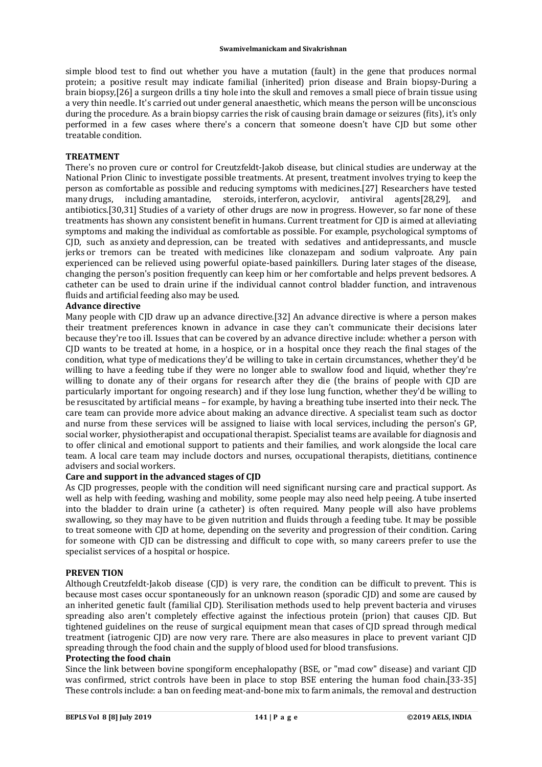simple blood test to find out whether you have a mutation (fault) in the gene that produces normal protein; a positive result may indicate familial (inherited) prion disease and Brain biopsy-During a brain biopsy,[26] a surgeon drills a tiny hole into the skull and removes a small piece of brain tissue using a very thin needle. It's carried out under general anaesthetic, which means the person will be unconscious during the procedure. As a brain biopsy carries the risk of causing brain damage or seizures (fits), it's only performed in a few cases where there's a concern that someone doesn't have CJD but some other treatable condition.

## **TREATMENT**

There's no proven cure or control for Creutzfeldt-Jakob disease, but clinical studies are underway at the National Prion Clinic to investigate possible treatments. At present, treatment involves trying to keep the person as comfortable as possible and reducing symptoms with medicines.[27] Researchers have tested many drugs, including amantadine, steroids, interferon, acyclovir, antiviral agents[28,29], and antibiotics.[30,31] Studies of a variety of other drugs are now in progress. However, so far none of these treatments has shown any consistent benefit in humans. Current treatment for CJD is aimed at alleviating symptoms and making the individual as comfortable as possible. For example, psychological symptoms of CJD, such as anxiety and depression, can be treated with sedatives and antidepressants, and muscle jerks or tremors can be treated with medicines like clonazepam and sodium valproate. Any pain experienced can be relieved using powerful opiate-based painkillers. During later stages of the disease, changing the person's position frequently can keep him or her comfortable and helps prevent bedsores. A catheter can be used to drain urine if the individual cannot control bladder function, and intravenous fluids and artificial feeding also may be used.

## **Advance directive**

Many people with CJD draw up an advance directive.[32] An advance directive is where a person makes their treatment preferences known in advance in case they can't communicate their decisions later because they're too ill. Issues that can be covered by an advance directive include: whether a person with CJD wants to be treated at home, in a hospice, or in a hospital once they reach the final stages of the condition, what type of medications they'd be willing to take in certain circumstances, whether they'd be willing to have a feeding tube if they were no longer able to swallow food and liquid, whether they're willing to donate any of their organs for research after they die (the brains of people with CJD are particularly important for ongoing research) and if they lose lung function, whether they'd be willing to be resuscitated by artificial means – for example, by having a breathing tube inserted into their neck. The care team can provide more advice about making an advance directive. A specialist team such as doctor and nurse from these services will be assigned to liaise with local services, including the person's GP, social worker, physiotherapist and occupational therapist. Specialist teams are available for diagnosis and to offer clinical and emotional support to patients and their families, and work alongside the local care team. A local care team may include doctors and nurses, occupational therapists, dietitians, continence advisers and social workers.

## **Care and support in the advanced stages of CJD**

As CJD progresses, people with the condition will need significant nursing care and practical support. As well as help with feeding, washing and mobility, some people may also need help peeing. A tube inserted into the bladder to drain urine (a catheter) is often required. Many people will also have problems swallowing, so they may have to be given nutrition and fluids through a feeding tube. It may be possible to treat someone with CJD at home, depending on the severity and progression of their condition. Caring for someone with CJD can be distressing and difficult to cope with, so many careers prefer to use the specialist services of a hospital or hospice.

#### **PREVEN TION**

Although Creutzfeldt-Jakob disease (CJD) is very rare, the condition can be difficult to prevent. This is because most cases occur spontaneously for an unknown reason (sporadic CJD) and some are caused by an inherited genetic fault (familial CJD). Sterilisation methods used to help prevent bacteria and viruses spreading also aren't completely effective against the infectious protein (prion) that causes CJD. But tightened guidelines on the reuse of surgical equipment mean that cases of CJD spread through medical treatment (iatrogenic CJD) are now very rare. There are also measures in place to prevent variant CJD spreading through the food chain and the supply of blood used for blood transfusions.

# **Protecting the food chain**

Since the link between bovine spongiform encephalopathy (BSE, or "mad cow" disease) and variant CJD was confirmed, strict controls have been in place to stop BSE entering the human food chain.[33-35] These controls include: a ban on feeding meat-and-bone mix to farm animals, the removal and destruction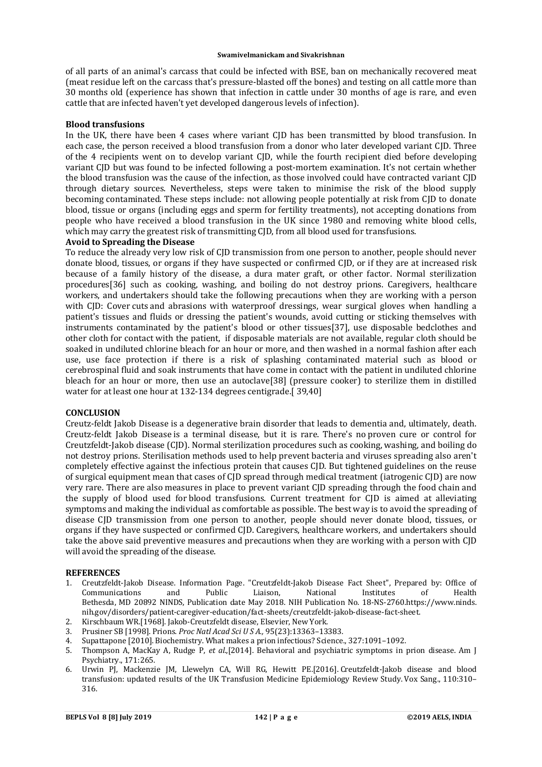of all parts of an animal's carcass that could be infected with BSE, ban on mechanically recovered meat (meat residue left on the carcass that's pressure-blasted off the bones) and testing on all cattle more than 30 months old (experience has shown that infection in cattle under 30 months of age is rare, and even cattle that are infected haven't yet developed dangerous levels of infection).

## **Blood transfusions**

In the UK, there have been 4 cases where variant CJD has been transmitted by blood transfusion. In each case, the person received a blood transfusion from a donor who later developed variant CJD. Three of the 4 recipients went on to develop variant CJD, while the fourth recipient died before developing variant CJD but was found to be infected following a post-mortem examination. It's not certain whether the blood transfusion was the cause of the infection, as those involved could have contracted variant CJD through dietary sources. Nevertheless, steps were taken to minimise the risk of the blood supply becoming contaminated. These steps include: not allowing people potentially at risk from CJD to donate blood, tissue or organs (including eggs and sperm for fertility treatments), not accepting donations from people who have received a blood transfusion in the UK since 1980 and removing white blood cells, which may carry the greatest risk of transmitting CJD, from all blood used for transfusions.

## **Avoid to Spreading the Disease**

To reduce the already very low risk of CJD transmission from one person to another, people should never donate blood, tissues, or organs if they have suspected or confirmed CJD, or if they are at increased risk because of a family history of the disease, a dura mater graft, or other factor. Normal sterilization procedures[36] such as cooking, washing, and boiling do not destroy prions. Caregivers, healthcare workers, and undertakers should take the following precautions when they are working with a person with CJD: Cover cuts and abrasions with waterproof dressings, wear surgical gloves when handling a patient's tissues and fluids or dressing the patient's wounds, avoid cutting or sticking themselves with instruments contaminated by the patient's blood or other tissues[37], use disposable bedclothes and other cloth for contact with the patient, if disposable materials are not available, regular cloth should be soaked in undiluted chlorine bleach for an hour or more, and then washed in a normal fashion after each use, use face protection if there is a risk of splashing contaminated material such as blood or cerebrospinal fluid and soak instruments that have come in contact with the patient in undiluted chlorine bleach for an hour or more, then use an autoclave[38] (pressure cooker) to sterilize them in distilled water for at least one hour at 132-134 degrees centigrade.[ 39,40]

# **CONCLUSION**

Creutz-feldt Jakob Disease is a degenerative brain disorder that leads to dementia and, ultimately, death. Creutz-feldt Jakob Disease is a terminal disease, but it is rare. There's no proven cure or control for Creutzfeldt-Jakob disease (CJD). Normal sterilization procedures such as cooking, washing, and boiling do not destroy prions. Sterilisation methods used to help prevent bacteria and viruses spreading also aren't completely effective against the infectious protein that causes CJD. But tightened guidelines on the reuse of surgical equipment mean that cases of CJD spread through medical treatment (iatrogenic CJD) are now very rare. There are also measures in place to prevent variant CJD spreading through the food chain and the supply of blood used for blood transfusions. Current treatment for CJD is aimed at alleviating symptoms and making the individual as comfortable as possible. The best way is to avoid the spreading of disease CJD transmission from one person to another, people should never donate blood, tissues, or organs if they have suspected or confirmed CJD. Caregivers, healthcare workers, and undertakers should take the above said preventive measures and precautions when they are working with a person with CJD will avoid the spreading of the disease.

#### **REFERENCES**

- 1. Creutzfeldt-Jakob Disease. Information Page. "Creutzfeldt-Jakob Disease Fact Sheet", Prepared by: Office of Communications and Public Liaison, National Institutes of Health Bethesda, MD 20892 NINDS, Publication date May 2018. NIH Publication No. 18-NS-2760[.https://www.ninds.](https://www.ninds.) nih.gov/disorders/patient-caregiver-education/fact-sheets/creutzfeldt-jakob-disease-fact-sheet.
- 2. Kirschbaum WR.[1968]. Jakob-Creutzfeldt disease, Elsevier, New York.
- 3. Prusiner SB [1998]. Prions. *Proc Natl Acad Sci U S A.,* 95(23):13363–13383.
- 4. Supattapone [2010]. Biochemistry. What makes a prion infectious? Science., 327:1091–1092.
- 5. Thompson A, MacKay A, Rudge P, *et al*.,[2014]. Behavioral and psychiatric symptoms in prion disease. Am J Psychiatry., 171:265.
- 6. Urwin PJ, Mackenzie JM, Llewelyn CA, Will RG, Hewitt PE.[2016]. Creutzfeldt-Jakob disease and blood transfusion: updated results of the UK Transfusion Medicine Epidemiology Review Study. Vox Sang., 110:310– 316.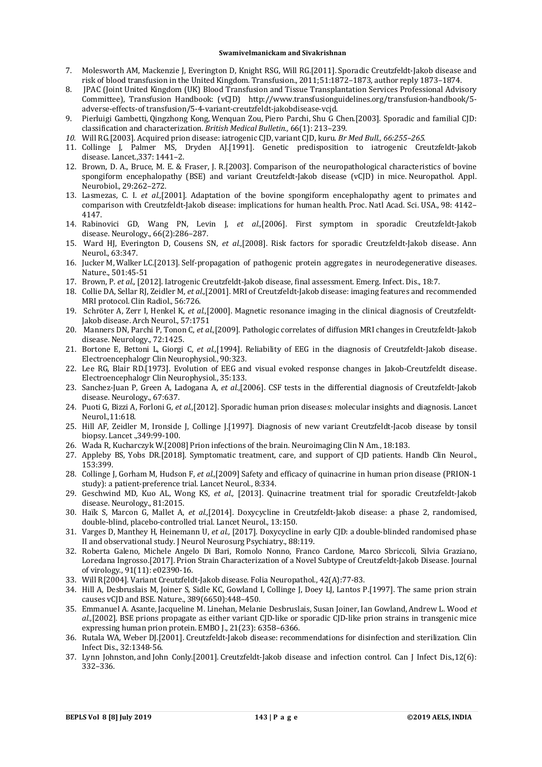- 7. Molesworth AM, Mackenzie J, Everington D, Knight RSG, Will RG.[2011]. Sporadic Creutzfeldt-Jakob disease and risk of blood transfusion in the United Kingdom. Transfusion., 2011;51:1872–1873, author reply 1873–1874.
- 8. JPAC (Joint United Kingdom (UK) Blood Transfusion and Tissue Transplantation Services Professional Advisory Committee), Transfusion Handbook: (vCJD) [http://www.transfusionguidelines.org/transfusion-handbook/5](http://www.transfusionguidelines.org/transfusion-handbook/5-) adverse-effects-of transfusion/5-4-variant-creutzfeldt-jakobdisease-vcjd.
- 9. Pierluigi Gambetti, Qingzhong Kong, Wenquan Zou, Piero Parchi, Shu G Chen.[2003]. Sporadic and familial CJD: classification and characterization. *British Medical Bulletin.,* 66(1): 213–239.
- *10.* Will RG.[2003]. Acquired prion disease: iatrogenic CJD, variant CJD, kuru. *Br Med Bull., 66:255–265.*
- 11. Collinge J, Palmer MS, Dryden AJ.[1991]. Genetic predisposition to iatrogenic Creutzfeldt-Jakob disease. Lancet.,337: 1441–2.
- 12. Brown, D. A., Bruce, M. E. & Fraser, J. R.[2003]. Comparison of the neuropathological characteristics of bovine spongiform encephalopathy (BSE) and variant Creutzfeldt-Jakob disease (vCJD) in mice. Neuropathol. Appl. Neurobiol., 29:262–272.
- 13. Lasmezas, C. I. *et al.,*[2001]*.* Adaptation of the bovine spongiform encephalopathy agent to primates and comparison with Creutzfeldt-Jakob disease: implications for human health. Proc. Natl Acad. Sci. USA., 98: 4142– 4147.
- 14. Rabinovici GD, Wang PN, Levin J, *et al.,*[2006]. First symptom in sporadic Creutzfeldt-Jakob disease. Neurology., 66(2):286–287.
- 15. Ward HJ, Everington D, Cousens SN, *et al.,*[2008]. Risk factors for sporadic Creutzfeldt-Jakob disease. Ann Neurol., 63:347.
- 16. Jucker M, Walker LC.[2013]. Self-propagation of pathogenic protein aggregates in neurodegenerative diseases. Nature., 501:45-51
- 17. Brown, P. *et al.,* [2012]. Iatrogenic Creutzfeldt-Jakob disease, final assessment. Emerg. Infect. Dis., 18:7.
- 18. Collie DA, Sellar RJ, Zeidler M, *et al.,*[2001]. MRI of Creutzfeldt-Jakob disease: imaging features and recommended MRI protocol. Clin Radiol., 56:726.
- 19. Schröter A, Zerr I, Henkel K, *et al.,*[2000]. Magnetic resonance imaging in the clinical diagnosis of Creutzfeldt-Jakob disease. Arch Neurol., 57:1751
- 20. Manners DN, Parchi P, Tonon C, *et al.,*[2009]. Pathologic correlates of diffusion MRI changes in Creutzfeldt-Jakob disease. Neurology., 72:1425.
- 21. Bortone E, Bettoni L, Giorgi C, *et al.,*[1994]. Reliability of EEG in the diagnosis of Creutzfeldt-Jakob disease. Electroencephalogr Clin Neurophysiol., 90:323.
- 22. Lee RG, Blair RD.[1973]. Evolution of EEG and visual evoked response changes in Jakob-Creutzfeldt disease. Electroencephalogr Clin Neurophysiol., 35:133.
- 23. Sanchez-Juan P, Green A, Ladogana A, *et al.*,[2006]. CSF tests in the differential diagnosis of Creutzfeldt-Jakob disease. Neurology., 67:637.
- 24. Puoti G, Bizzi A, Forloni G, *et al.,*[2012]. Sporadic human prion diseases: molecular insights and diagnosis. Lancet Neurol.,11:618.
- 25. Hill AF, Zeidler M, Ironside J, Collinge J.[1997]. Diagnosis of new variant Creutzfeldt-Jacob disease by tonsil biopsy. Lancet .,349:99-100.
- 26. Wada R, Kucharczyk W.[2008] Prion infections of the brain. Neuroimaging Clin N Am., 18:183.
- 27. Appleby BS, Yobs DR.[2018]. Symptomatic treatment, care, and support of CJD patients. Handb Clin Neurol., 153:399.
- 28. Collinge J, Gorham M, Hudson F, *et al.,*[2009] Safety and efficacy of quinacrine in human prion disease (PRION-1 study): a patient-preference trial. Lancet Neurol., 8:334.
- 29. Geschwind MD, Kuo AL, Wong KS, *et al.,* [2013]. Quinacrine treatment trial for sporadic Creutzfeldt-Jakob disease. Neurology., 81:2015.
- 30. Haïk S, Marcon G, Mallet A, *et al.,*[2014]. Doxycycline in Creutzfeldt-Jakob disease: a phase 2, randomised, double-blind, placebo-controlled trial. Lancet Neurol., 13:150.
- 31. Varges D, Manthey H, Heinemann U, *et al.,* [2017]. Doxycycline in early CJD: a double-blinded randomised phase II and observational study. J Neurol Neurosurg Psychiatry., 88:119.
- 32. Roberta Galeno, Michele Angelo Di Bari, Romolo Nonno, Franco Cardone, Marco Sbriccoli, Silvia Graziano, Loredana Ingrosso.[2017]. Prion Strain Characterization of a Novel Subtype of Creutzfeldt-Jakob Disease. Journal of virology., 91(11): e02390-16.
- 33. Will R[2004]. Variant Creutzfeldt-Jakob disease. Folia Neuropathol., 42(A):77-83.
- 34. Hill A, Desbruslais M, Joiner S, Sidle KC, Gowland I, Collinge J, Doey LJ, Lantos P.[1997]. The same prion strain causes vCJD and BSE. Nature., 389(6650):448–450.
- 35. Emmanuel A. Asante, Jacqueline M. Linehan, Melanie Desbruslais, Susan Joiner, Ian Gowland, Andrew L. Wood *et al.,*[2002]. BSE prions propagate as either variant CJD-like or sporadic CJD-like prion strains in transgenic mice expressing human prion protein. EMBO J., 21(23): 6358–6366.
- 36. Rutala WA, Weber DJ.[2001]. Creutzfeldt-Jakob disease: recommendations for disinfection and sterilization. Clin Infect Dis., 32:1348-56.
- 37. Lynn Johnston, and John Conly.[2001]. Creutzfeldt-Jakob disease and infection control. Can J Infect Dis.,12(6): 332–336.